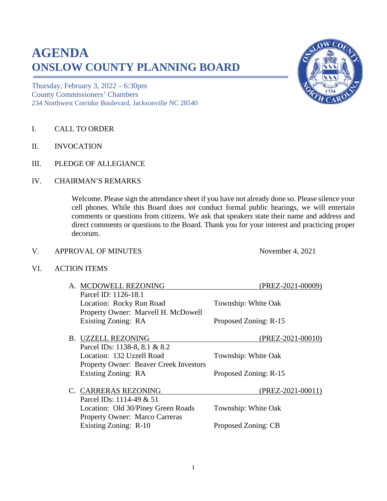# **AGENDA ONSLOW COUNTY PLANNING BOARD**

Thursday, February 3, 2022 – 6:30pm County Commissioners' Chambers 234 Northwest Corridor Boulevard, Jacksonville NC 28540

- I. CALL TO ORDER
- II. INVOCATION
- III. PLEDGE OF ALLEGIANCE
- IV. CHAIRMAN'S REMARKS

Welcome. Please sign the attendance sheet if you have not already done so. Please silence your cell phones. While this Board does not conduct formal public hearings, we will entertain comments or questions from citizens. We ask that speakers state their name and address and direct comments or questions to the Board. Thank you for your interest and practicing proper decorum.

### V. APPROVAL OF MINUTES November 4, 2021

#### VI. ACTION ITEMS

| A. MCDOWELL REZONING                                                                                        | (PREZ-2021-000        |
|-------------------------------------------------------------------------------------------------------------|-----------------------|
| Parcel ID: 1126-18.1<br>Location: Rocky Run Road<br>Property Owner: Marvell H. McDowell                     | Township: White Oak   |
| Existing Zoning: RA                                                                                         | Proposed Zoning: R-15 |
| <b>B. UZZELL REZONING</b>                                                                                   | (PREZ-2021-00010)     |
| Parcel IDs: 1138-8, 8.1 & 8.2<br>Location: 132 Uzzell Road<br><b>Property Owner: Beaver Creek Investors</b> | Township: White Oak   |
| Existing Zoning: RA                                                                                         | Proposed Zoning: R-15 |
| C. CARRERAS REZONING<br>Parcel IDs: 1114-49 & 51                                                            | (PREZ-2021-00011)     |
| Location: Old 30/Piney Green Roads<br>Property Owner: Marco Carreras                                        | Township: White Oak   |
| Existing Zoning: R-10                                                                                       | Proposed Zoning: CB   |